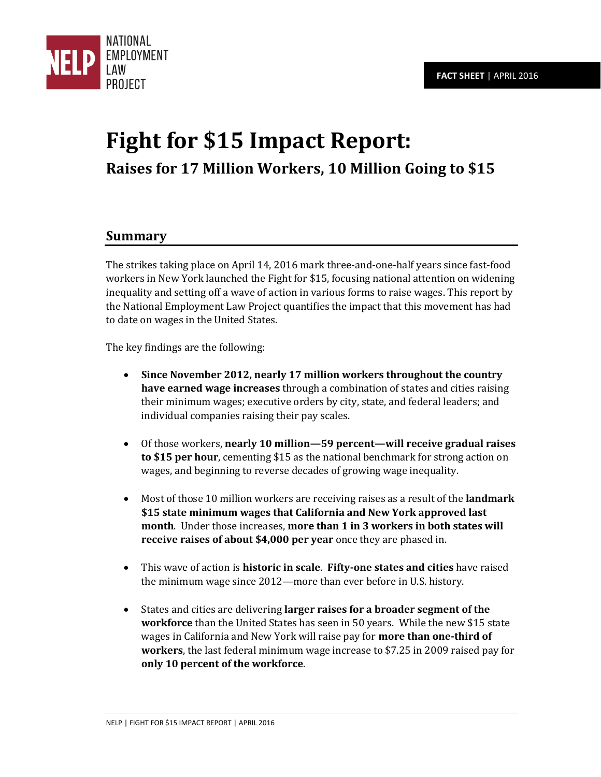

# **Fight for \$15 Impact Report: Raises for 17 Million Workers, 10 Million Going to \$15**

#### **Summary**

The strikes taking place on April 14, 2016 mark three-and-one-half years since fast-food workers in New York launched the Fight for \$15, focusing national attention on widening inequality and setting off a wave of action in various forms to raise wages. This report by the National Employment Law Project quantifies the impact that this movement has had to date on wages in the United States.

The key findings are the following:

- **Since November 2012, nearly 17 million workers throughout the country have earned wage increases** through a combination of states and cities raising their minimum wages; executive orders by city, state, and federal leaders; and individual companies raising their pay scales.
- Of those workers, **nearly 10 million—59 percent—will receive gradual raises to \$15 per hour**, cementing \$15 as the national benchmark for strong action on wages, and beginning to reverse decades of growing wage inequality.
- Most of those 10 million workers are receiving raises as a result of the **landmark \$15 state minimum wages that California and New York approved last month**. Under those increases, **more than 1 in 3 workers in both states will receive raises of about \$4,000 per year** once they are phased in.
- This wave of action is **historic in scale**. **Fifty-one states and cities** have raised the minimum wage since 2012—more than ever before in U.S. history.
- States and cities are delivering **larger raises for a broader segment of the workforce** than the United States has seen in 50 years. While the new \$15 state wages in California and New York will raise pay for **more than one-third of workers**, the last federal minimum wage increase to \$7.25 in 2009 raised pay for **only 10 percent of the workforce**.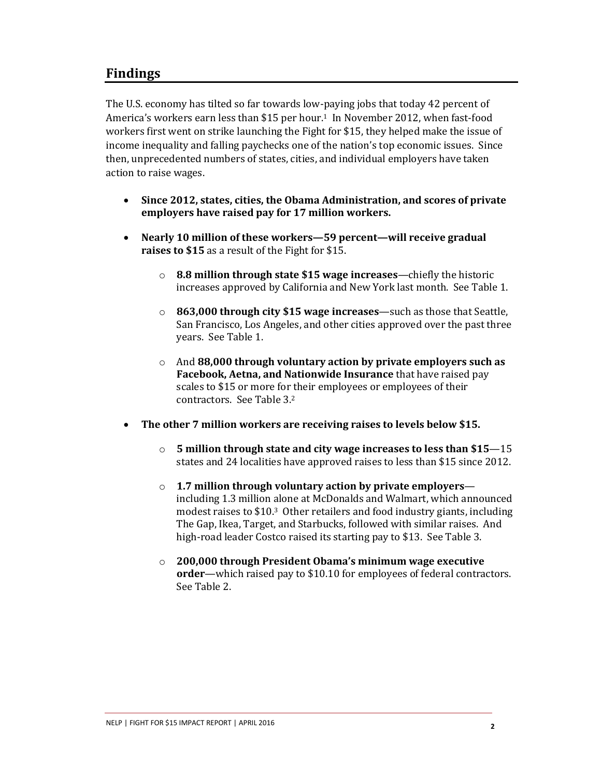#### **Findings**

The U.S. economy has tilted so far towards low-paying jobs that today 42 percent of America's workers earn less than \$15 per hour.<sup>1</sup> In November 2012, when fast-food workers first went on strike launching the Fight for \$15, they helped make the issue of income inequality and falling paychecks one of the nation's top economic issues. Since then, unprecedented numbers of states, cities, and individual employers have taken action to raise wages.

- **Since 2012, states, cities, the Obama Administration, and scores of private employers have raised pay for 17 million workers.**
- **Nearly 10 million of these workers—59 percent—will receive gradual raises to \$15** as a result of the Fight for \$15.
	- o **8.8 million through state \$15 wage increases**—chiefly the historic increases approved by California and New York last month. See Table 1.
	- o **863,000 through city \$15 wage increases**—such as those that Seattle, San Francisco, Los Angeles, and other cities approved over the past three years. See Table 1.
	- o And **88,000 through voluntary action by private employers such as Facebook, Aetna, and Nationwide Insurance** that have raised pay scales to \$15 or more for their employees or employees of their contractors. See Table 3.<sup>2</sup>
- **The other 7 million workers are receiving raises to levels below \$15.**
	- o **5 million through state and city wage increases to less than \$15**—15 states and 24 localities have approved raises to less than \$15 since 2012.
	- o **1.7 million through voluntary action by private employers** including 1.3 million alone at McDonalds and Walmart, which announced modest raises to \$10.3 Other retailers and food industry giants, including The Gap, Ikea, Target, and Starbucks, followed with similar raises. And high-road leader Costco raised its starting pay to \$13. See Table 3.
	- o **200,000 through President Obama's minimum wage executive order**—which raised pay to \$10.10 for employees of federal contractors. See Table 2.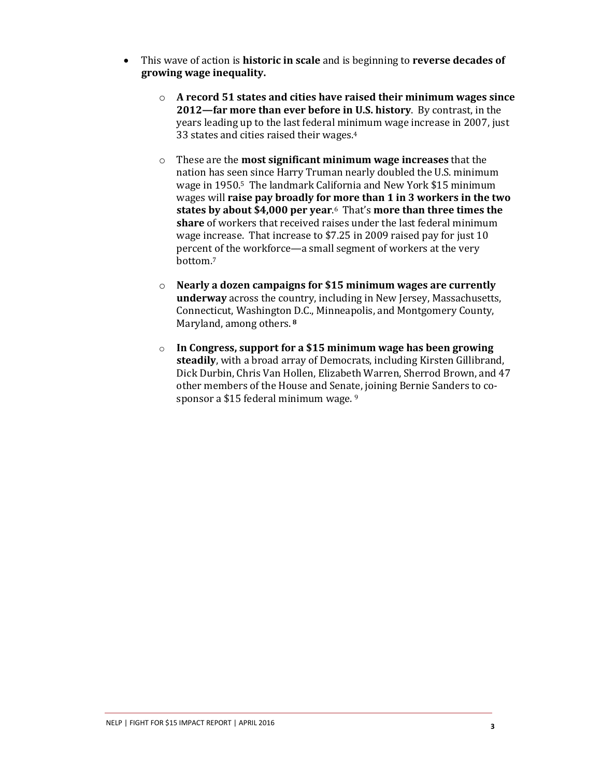- <span id="page-2-1"></span><span id="page-2-0"></span> This wave of action is **historic in scale** and is beginning to **reverse decades of growing wage inequality.**
	- o **A record 51 states and cities have raised their minimum wages since 2012—far more than ever before in U.S. history**. By contrast, in the years leading up to the last federal minimum wage increase in 2007, just 33 states and cities raised their wages.<sup>4</sup>
	- o These are the **most significant minimum wage increases** that the nation has seen since Harry Truman nearly doubled the U.S. minimum wage in 1950.5 The landmark California and New York \$15 minimum wages will **raise pay broadly for more than 1 in 3 workers in the two states by about \$4,000 per year**. <sup>6</sup> That's **more than three times the share** of workers that received raises under the last federal minimum wage increase. That increase to \$7.25 in 2009 raised pay for just 10 percent of the workforce—a small segment of workers at the very bottom.<sup>7</sup>
	- o **Nearly a dozen campaigns for \$15 minimum wages are currently underway** across the country, including in New Jersey, Massachusetts, Connecticut, Washington D.C., Minneapolis, and Montgomery County, Maryland, among others.**<sup>8</sup>**
	- o **In Congress, support for a \$15 minimum wage has been growing steadily**, with a broad array of Democrats, including Kirsten Gillibrand, Dick Durbin, Chris Van Hollen, Elizabeth Warren, Sherrod Brown, and 47 other members of the House and Senate, joining Bernie Sanders to cosponsor a \$15 federal minimum wage. 9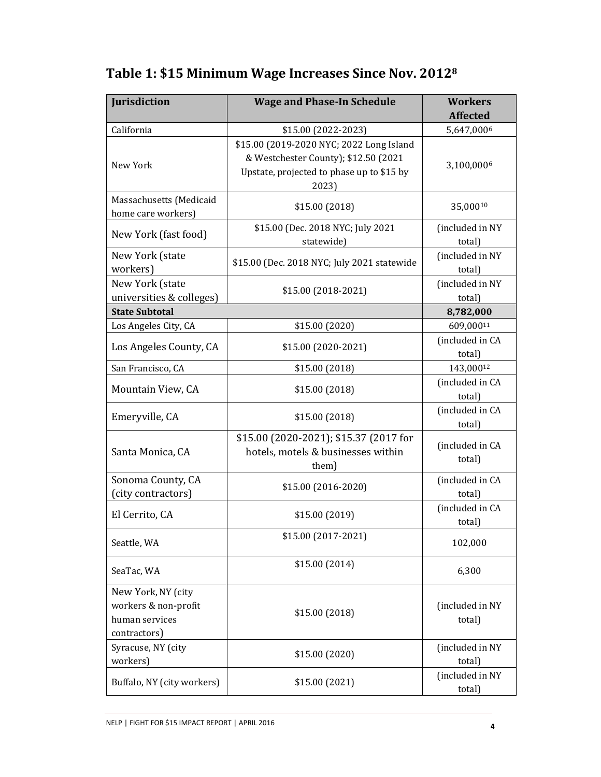| Jurisdiction                                                                 | <b>Wage and Phase-In Schedule</b>                                                                                                      | <b>Workers</b><br><b>Affected</b> |
|------------------------------------------------------------------------------|----------------------------------------------------------------------------------------------------------------------------------------|-----------------------------------|
| California                                                                   | \$15.00 (2022-2023)                                                                                                                    | 5,647,0006                        |
| New York                                                                     | \$15.00 (2019-2020 NYC; 2022 Long Island<br>& Westchester County); \$12.50 (2021<br>Upstate, projected to phase up to \$15 by<br>2023) | 3,100,0006                        |
| Massachusetts (Medicaid<br>home care workers)                                | \$15.00 (2018)                                                                                                                         | 35,00010                          |
| New York (fast food)                                                         | \$15.00 (Dec. 2018 NYC; July 2021<br>statewide)                                                                                        | (included in NY<br>total)         |
| New York (state<br>workers)                                                  | \$15.00 (Dec. 2018 NYC; July 2021 statewide                                                                                            | (included in NY<br>total)         |
| New York (state<br>universities & colleges)                                  | \$15.00 (2018-2021)                                                                                                                    | (included in NY<br>total)         |
| <b>State Subtotal</b>                                                        |                                                                                                                                        | 8,782,000                         |
| Los Angeles City, CA                                                         | \$15.00 (2020)                                                                                                                         | 609,00011                         |
| Los Angeles County, CA                                                       | \$15.00 (2020-2021)                                                                                                                    | (included in CA<br>total)         |
| San Francisco, CA                                                            | \$15.00(2018)                                                                                                                          | 143,00012                         |
| Mountain View, CA                                                            | \$15.00 (2018)                                                                                                                         | (included in CA<br>total)         |
| Emeryville, CA                                                               | \$15.00 (2018)                                                                                                                         | (included in CA<br>total)         |
| Santa Monica, CA                                                             | \$15.00 (2020-2021); \$15.37 (2017 for<br>hotels, motels & businesses within<br>them)                                                  | (included in CA<br>total)         |
| Sonoma County, CA<br>(city contractors)                                      | \$15.00 (2016-2020)                                                                                                                    | (included in CA<br>total)         |
| El Cerrito, CA                                                               | \$15.00 (2019)                                                                                                                         | (included in CA<br>total)         |
| Seattle, WA                                                                  | \$15.00 (2017-2021)                                                                                                                    | 102,000                           |
| SeaTac, WA                                                                   | \$15.00(2014)                                                                                                                          | 6,300                             |
| New York, NY (city<br>workers & non-profit<br>human services<br>contractors) | \$15.00 (2018)                                                                                                                         | (included in NY<br>total)         |
| Syracuse, NY (city<br>workers)                                               | \$15.00 (2020)                                                                                                                         | (included in NY<br>total)         |
| Buffalo, NY (city workers)                                                   | \$15.00 (2021)                                                                                                                         | (included in NY<br>total)         |

### **Table 1: \$15 Minimum Wage Increases Since Nov. 2012[8](#page-2-0)**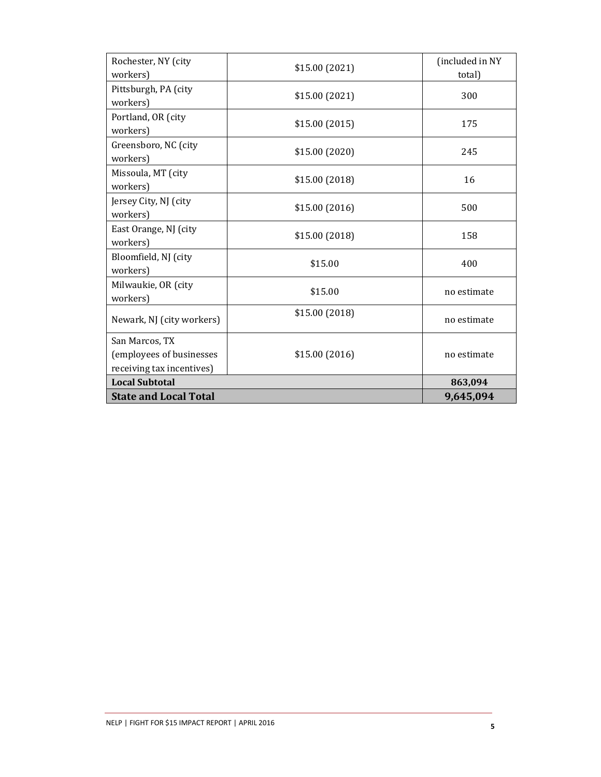| Rochester, NY (city          | \$15.00 (2021) | (included in NY |
|------------------------------|----------------|-----------------|
| workers)                     |                | total)          |
| Pittsburgh, PA (city         | \$15.00(2021)  | 300             |
| workers)                     |                |                 |
| Portland, OR (city           | \$15.00(2015)  | 175             |
| workers)                     |                |                 |
| Greensboro, NC (city         | \$15.00 (2020) | 245             |
| workers)                     |                |                 |
| Missoula, MT (city           | \$15.00(2018)  | 16              |
| workers)                     |                |                 |
| Jersey City, NJ (city        |                | 500             |
| workers)                     | \$15.00(2016)  |                 |
| East Orange, NJ (city        |                | 158             |
| workers)                     | \$15.00 (2018) |                 |
| Bloomfield, NJ (city         |                | 400             |
| workers)                     | \$15.00        |                 |
| Milwaukie, OR (city          |                | no estimate     |
| workers)                     | \$15.00        |                 |
|                              | \$15.00(2018)  | no estimate     |
| Newark, NJ (city workers)    |                |                 |
| San Marcos, TX               |                |                 |
| (employees of businesses     | \$15.00(2016)  | no estimate     |
| receiving tax incentives)    |                |                 |
| <b>Local Subtotal</b>        |                | 863,094         |
| <b>State and Local Total</b> |                | 9,645,094       |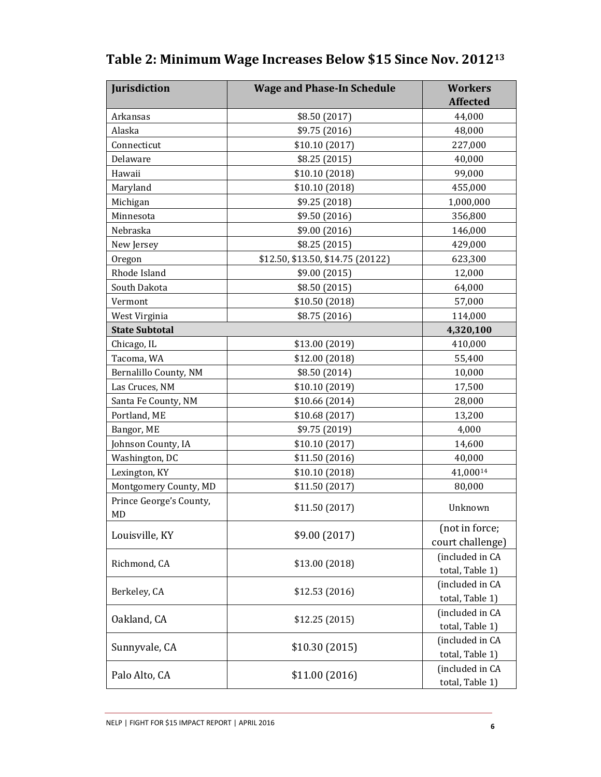| Jurisdiction                  | <b>Wage and Phase-In Schedule</b> | <b>Workers</b>                     |
|-------------------------------|-----------------------------------|------------------------------------|
|                               |                                   | <b>Affected</b>                    |
| Arkansas                      | \$8.50 (2017)                     | 44,000                             |
| Alaska                        | \$9.75 (2016)                     | 48,000                             |
| Connecticut                   | \$10.10(2017)                     | 227,000                            |
| Delaware                      | \$8.25(2015)                      | 40,000                             |
| Hawaii                        | \$10.10 (2018)                    | 99,000                             |
| Maryland                      | \$10.10(2018)                     | 455,000                            |
| Michigan                      | \$9.25 (2018)                     | 1,000,000                          |
| Minnesota                     | \$9.50 (2016)                     | 356,800                            |
| Nebraska                      | \$9.00 (2016)                     | 146,000                            |
| New Jersey                    | \$8.25 (2015)                     | 429,000                            |
| Oregon                        | \$12.50, \$13.50, \$14.75 (20122) | 623,300                            |
| Rhode Island                  | \$9.00 (2015)                     | 12,000                             |
| South Dakota                  | \$8.50 (2015)                     | 64,000                             |
| Vermont                       | \$10.50 (2018)                    | 57,000                             |
| West Virginia                 | \$8.75 (2016)                     | 114,000                            |
| <b>State Subtotal</b>         |                                   | 4,320,100                          |
| Chicago, IL                   | \$13.00 (2019)                    | 410,000                            |
| Tacoma, WA                    | \$12.00 (2018)                    | 55,400                             |
| Bernalillo County, NM         | \$8.50 (2014)                     | 10,000                             |
| Las Cruces, NM                | \$10.10 (2019)                    | 17,500                             |
| Santa Fe County, NM           | \$10.66 (2014)                    | 28,000                             |
| Portland, ME                  | \$10.68 (2017)                    | 13,200                             |
| Bangor, ME                    | \$9.75 (2019)                     | 4,000                              |
| Johnson County, IA            | \$10.10(2017)                     | 14,600                             |
| Washington, DC                | \$11.50 (2016)                    | 40,000                             |
| Lexington, KY                 | \$10.10 (2018)                    | 41,00014                           |
| Montgomery County, MD         | \$11.50 (2017)                    | 80,000                             |
| Prince George's County,<br>MD | \$11.50 (2017)                    | Unknown                            |
| Louisville, KY                | \$9.00 (2017)                     | (not in force;<br>court challenge) |
| Richmond, CA                  | \$13.00 (2018)                    | (included in CA<br>total, Table 1) |
| Berkeley, CA                  | \$12.53(2016)                     | (included in CA<br>total, Table 1) |
| Oakland, CA                   | \$12.25(2015)                     | (included in CA<br>total, Table 1) |
| Sunnyvale, CA                 | \$10.30 (2015)                    | (included in CA<br>total, Table 1) |
| Palo Alto, CA                 | \$11.00(2016)                     | (included in CA<br>total, Table 1) |

## **Table 2: Minimum Wage Increases Below \$15 Since Nov. 2012<sup>13</sup>**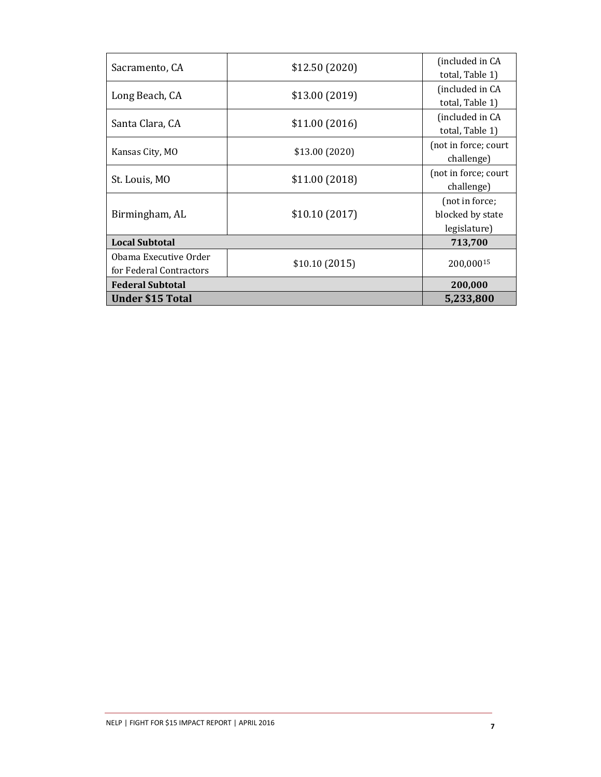|                         | \$12.50(2020)  | (included in CA      |
|-------------------------|----------------|----------------------|
| Sacramento, CA          |                | total, Table 1)      |
|                         |                | (included in CA      |
| Long Beach, CA          | \$13.00(2019)  | total, Table 1)      |
|                         |                | (included in CA      |
| Santa Clara, CA         | \$11.00(2016)  | total, Table 1)      |
| Kansas City, MO         | \$13.00 (2020) | (not in force; court |
|                         |                | challenge)           |
| St. Louis, MO           | \$11.00(2018)  | (not in force; court |
|                         |                | challenge)           |
| Birmingham, AL          | \$10.10(2017)  | (not in force;       |
|                         |                | blocked by state     |
|                         |                | legislature)         |
| <b>Local Subtotal</b>   |                | 713,700              |
| Obama Executive Order   |                | 200.00015            |
| for Federal Contractors | \$10.10(2015)  |                      |
| <b>Federal Subtotal</b> |                | 200,000              |
| <b>Under \$15 Total</b> |                | 5,233,800            |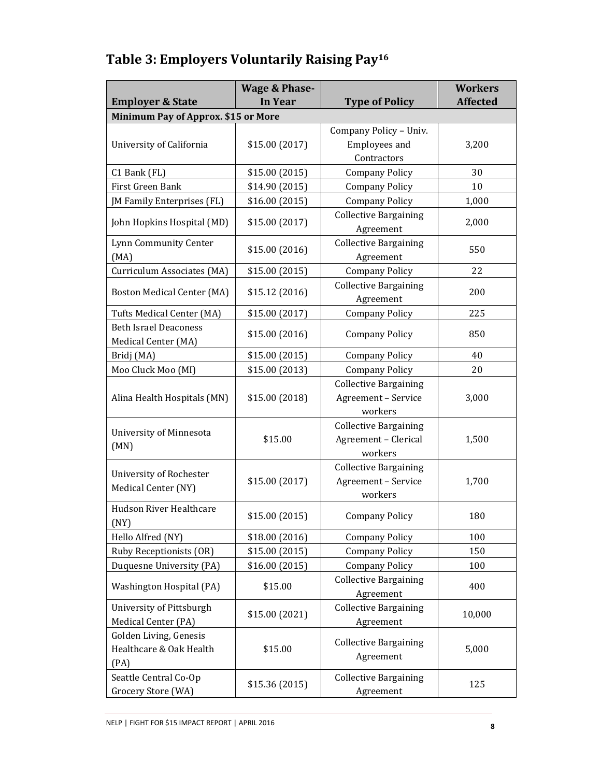# **Table 3: Employers Voluntarily Raising Pay<sup>16</sup>**

|                                                           | <b>Wage &amp; Phase-</b> |                                                                 | <b>Workers</b>  |
|-----------------------------------------------------------|--------------------------|-----------------------------------------------------------------|-----------------|
| <b>Employer &amp; State</b>                               | In Year                  | <b>Type of Policy</b>                                           | <b>Affected</b> |
| Minimum Pay of Approx. \$15 or More                       |                          |                                                                 |                 |
|                                                           |                          | Company Policy - Univ.                                          |                 |
| University of California                                  | \$15.00 (2017)           | Employees and                                                   | 3,200           |
|                                                           |                          | Contractors                                                     |                 |
| C1 Bank (FL)                                              | \$15.00 (2015)           | <b>Company Policy</b>                                           | 30              |
| First Green Bank                                          | \$14.90 (2015)           | <b>Company Policy</b>                                           | 10              |
| JM Family Enterprises (FL)                                | \$16.00(2015)            | <b>Company Policy</b>                                           | 1,000           |
| John Hopkins Hospital (MD)                                | \$15.00 (2017)           | <b>Collective Bargaining</b><br>Agreement                       | 2,000           |
| Lynn Community Center<br>(MA)                             | \$15.00 (2016)           | <b>Collective Bargaining</b><br>Agreement                       | 550             |
| Curriculum Associates (MA)                                | \$15.00 (2015)           | <b>Company Policy</b>                                           | 22              |
|                                                           |                          | <b>Collective Bargaining</b>                                    |                 |
| <b>Boston Medical Center (MA)</b>                         | \$15.12 (2016)           | Agreement                                                       | 200             |
| Tufts Medical Center (MA)                                 | \$15.00 (2017)           | <b>Company Policy</b>                                           | 225             |
| <b>Beth Israel Deaconess</b><br>Medical Center (MA)       | \$15.00 (2016)           | <b>Company Policy</b>                                           | 850             |
| Bridj (MA)                                                | \$15.00 (2015)           | <b>Company Policy</b>                                           | 40              |
| Moo Cluck Moo (MI)                                        | \$15.00 (2013)           | <b>Company Policy</b>                                           | 20              |
| Alina Health Hospitals (MN)                               | \$15.00 (2018)           | <b>Collective Bargaining</b><br>Agreement - Service<br>workers  | 3,000           |
| University of Minnesota<br>(MN)                           | \$15.00                  | <b>Collective Bargaining</b><br>Agreement - Clerical<br>workers | 1,500           |
| University of Rochester<br>Medical Center (NY)            | \$15.00 (2017)           | <b>Collective Bargaining</b><br>Agreement - Service<br>workers  | 1,700           |
| Hudson River Healthcare<br>(NY)                           | \$15.00 (2015)           | <b>Company Policy</b>                                           | 180             |
| Hello Alfred (NY)                                         | \$18.00 (2016)           | <b>Company Policy</b>                                           | 100             |
| Ruby Receptionists (OR)                                   | \$15.00 (2015)           | <b>Company Policy</b>                                           | 150             |
| Duquesne University (PA)                                  | \$16.00 (2015)           | <b>Company Policy</b>                                           | 100             |
| Washington Hospital (PA)                                  | \$15.00                  | <b>Collective Bargaining</b><br>Agreement                       | 400             |
| University of Pittsburgh<br>Medical Center (PA)           | \$15.00 (2021)           | <b>Collective Bargaining</b><br>Agreement                       | 10,000          |
| Golden Living, Genesis<br>Healthcare & Oak Health<br>(PA) | \$15.00                  | <b>Collective Bargaining</b><br>Agreement                       | 5,000           |
| Seattle Central Co-Op<br>Grocery Store (WA)               | \$15.36 (2015)           | <b>Collective Bargaining</b><br>Agreement                       | 125             |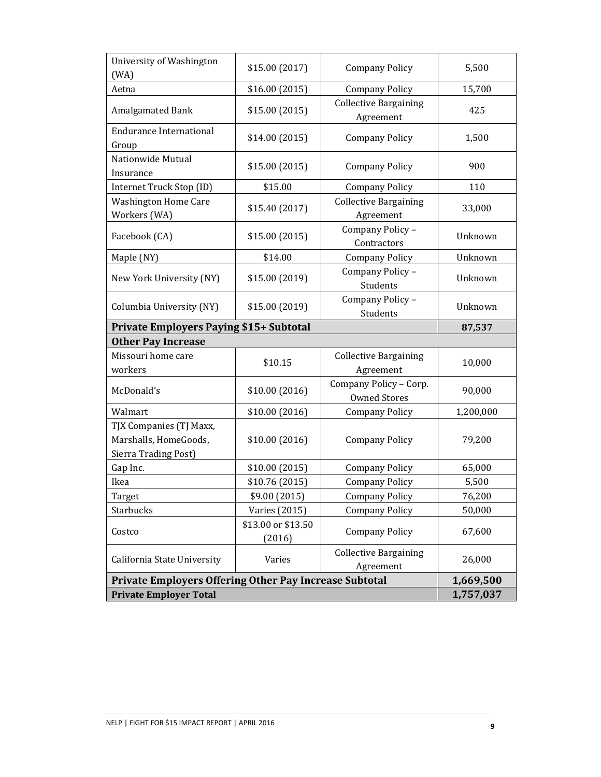| University of Washington<br>(WA)                                         | \$15.00 (2017)               | <b>Company Policy</b>                         | 5,500     |
|--------------------------------------------------------------------------|------------------------------|-----------------------------------------------|-----------|
| Aetna                                                                    | \$16.00(2015)                | <b>Company Policy</b>                         | 15,700    |
| Amalgamated Bank                                                         | \$15.00(2015)                | <b>Collective Bargaining</b><br>Agreement     | 425       |
| <b>Endurance International</b><br>Group                                  | \$14.00 (2015)               | <b>Company Policy</b>                         | 1,500     |
| Nationwide Mutual<br>Insurance                                           | \$15.00 (2015)               | <b>Company Policy</b>                         | 900       |
| Internet Truck Stop (ID)                                                 | \$15.00                      | <b>Company Policy</b>                         | 110       |
| <b>Washington Home Care</b><br>Workers (WA)                              | \$15.40 (2017)               | <b>Collective Bargaining</b><br>Agreement     | 33,000    |
| Facebook (CA)                                                            | \$15.00 (2015)               | Company Policy -<br>Contractors               | Unknown   |
| Maple (NY)                                                               | \$14.00                      | <b>Company Policy</b>                         | Unknown   |
| New York University (NY)                                                 | \$15.00 (2019)               | Company Policy -<br><b>Students</b>           | Unknown   |
| Columbia University (NY)                                                 | \$15.00 (2019)               | Company Policy -<br>Students                  | Unknown   |
| <b>Private Employers Paying \$15+ Subtotal</b>                           |                              |                                               | 87,537    |
| <b>Other Pay Increase</b>                                                |                              |                                               |           |
| Missouri home care<br>workers                                            | \$10.15                      | <b>Collective Bargaining</b><br>Agreement     | 10,000    |
| McDonald's                                                               | \$10.00(2016)                | Company Policy - Corp.<br><b>Owned Stores</b> | 90,000    |
| Walmart                                                                  | \$10.00 (2016)               | <b>Company Policy</b>                         | 1,200,000 |
| TJX Companies (TJ Maxx,<br>Marshalls, HomeGoods,<br>Sierra Trading Post) | \$10.00(2016)                | <b>Company Policy</b>                         | 79,200    |
| Gap Inc.                                                                 | \$10.00(2015)                | <b>Company Policy</b>                         | 65,000    |
| Ikea                                                                     | \$10.76 (2015)               | <b>Company Policy</b>                         | 5,500     |
| Target                                                                   | \$9.00 (2015)                | <b>Company Policy</b>                         | 76,200    |
| Starbucks                                                                | <b>Varies</b> (2015)         | <b>Company Policy</b>                         | 50,000    |
| Costco                                                                   | \$13.00 or \$13.50<br>(2016) | <b>Company Policy</b>                         | 67,600    |
| California State University                                              | Varies                       | <b>Collective Bargaining</b><br>Agreement     | 26,000    |
| Private Employers Offering Other Pay Increase Subtotal                   |                              |                                               | 1,669,500 |
| <b>Private Employer Total</b>                                            |                              |                                               | 1,757,037 |